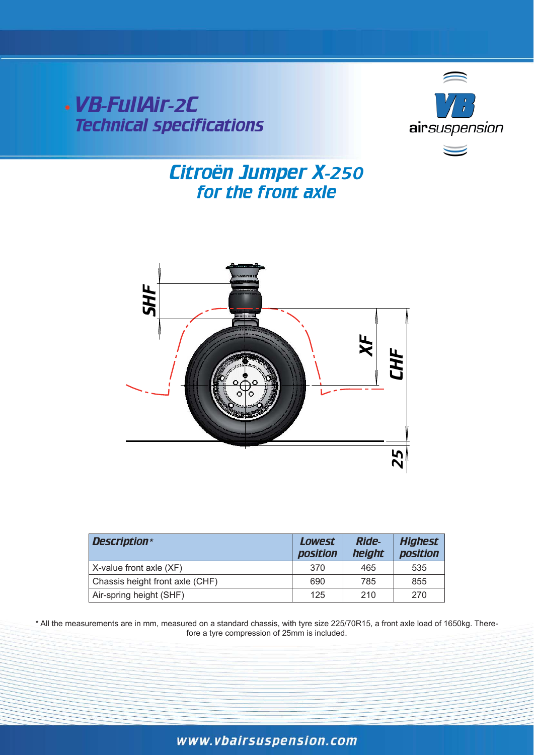VB-FullAir-2C Technical specifications



# for the front axle Citroën Jumper X-250



| Description*                    | Lowest<br><b>position</b> | <b>Ride-</b><br>height | <b>Highest</b><br>position |
|---------------------------------|---------------------------|------------------------|----------------------------|
| X-value front axle (XF)         | 370                       | 465                    | 535                        |
| Chassis height front axle (CHF) | 690                       | 785                    | 855                        |
| Air-spring height (SHF)         | 125                       | 210                    | 270                        |

\* All the measurements are in mm, measured on a standard chassis, with tyre size 225/70R15, a front axle load of 1650kg. There- Therefore a tyre compression of  $25$ mm is included.

# www.vbairsuspension.com